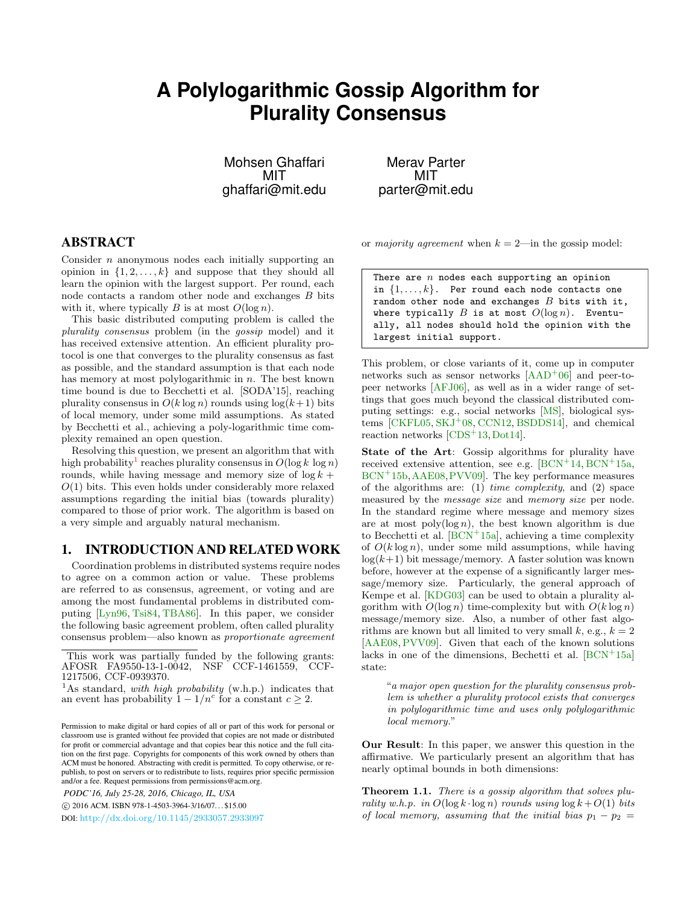# **A Polylogarithmic Gossip Algorithm for Plurality Consensus**

Mohsen Ghaffari MIT ghaffari@mit.edu

Merav Parter MIT parter@mit.edu

# ABSTRACT

Consider  $n$  anonymous nodes each initially supporting an opinion in  $\{1, 2, \ldots, k\}$  and suppose that they should all learn the opinion with the largest support. Per round, each node contacts a random other node and exchanges B bits with it, where typically B is at most  $O(\log n)$ .

This basic distributed computing problem is called the plurality consensus problem (in the gossip model) and it has received extensive attention. An efficient plurality protocol is one that converges to the plurality consensus as fast as possible, and the standard assumption is that each node has memory at most polylogarithmic in *n*. The best known time bound is due to Becchetti et al. [SODA'15], reaching plurality consensus in  $O(k \log n)$  rounds using  $\log(k+1)$  bits of local memory, under some mild assumptions. As stated by Becchetti et al., achieving a poly-logarithmic time complexity remained an open question.

Resolving this question, we present an algorithm that with high probability<sup>[1](#page-0-0)</sup> reaches plurality consensus in  $O(\log k \log n)$ rounds, while having message and memory size of  $\log k$  +  $O(1)$  bits. This even holds under considerably more relaxed assumptions regarding the initial bias (towards plurality) compared to those of prior work. The algorithm is based on a very simple and arguably natural mechanism.

## 1. INTRODUCTION AND RELATED WORK

Coordination problems in distributed systems require nodes to agree on a common action or value. These problems are referred to as consensus, agreement, or voting and are among the most fundamental problems in distributed computing [\[Lyn96,](#page-9-0) [Tsi84,](#page-9-1) [TBA86\]](#page-9-2). In this paper, we consider the following basic agreement problem, often called plurality consensus problem—also known as proportionate agreement

*PODC'16, July 25-28, 2016, Chicago, IL, USA*

c 2016 ACM. ISBN 978-1-4503-3964-3/16/07. . . \$15.00

DOI: <http://dx.doi.org/10.1145/2933057.2933097>

or majority agreement when  $k = 2$ —in the gossip model:

There are  $n$  nodes each supporting an opinion in  $\{1, \ldots, k\}$ . Per round each node contacts one random other node and exchanges  $B$  bits with it, where typically  $B$  is at most  $O(\log n)$ . Eventually, all nodes should hold the opinion with the largest initial support.

This problem, or close variants of it, come up in computer networks such as sensor networks  $[{\rm AAD}^+06]$  and peer-topeer networks [\[AFJ06\]](#page-8-1), as well as in a wider range of settings that goes much beyond the classical distributed computing settings: e.g., social networks [\[MS\]](#page-9-3), biological systems  $[CKFL05, SKJ<sup>+</sup>08, CCN12, BSDDS14]$  $[CKFL05, SKJ<sup>+</sup>08, CCN12, BSDDS14]$  $[CKFL05, SKJ<sup>+</sup>08, CCN12, BSDDS14]$  $[CKFL05, SKJ<sup>+</sup>08, CCN12, BSDDS14]$  $[CKFL05, SKJ<sup>+</sup>08, CCN12, BSDDS14]$  $[CKFL05, SKJ<sup>+</sup>08, CCN12, BSDDS14]$  $[CKFL05, SKJ<sup>+</sup>08, CCN12, BSDDS14]$ , and chemical reaction networks  $[CDS^+13, Dot14]$  $[CDS^+13, Dot14]$  $[CDS^+13, Dot14]$ .

State of the Art: Gossip algorithms for plurality have received extensive attention, see e.g.  $[BCN^+14, BCN^+15a,$  $[BCN^+14, BCN^+15a,$  $[BCN^+14, BCN^+15a,$  $[BCN^+14, BCN^+15a,$ [BCN](#page-9-11)<sup>+</sup>15b,[AAE08,](#page-8-3)[PVV09\]](#page-9-12). The key performance measures of the algorithms are: (1) time complexity, and (2) space measured by the *message size* and *memory size* per node. In the standard regime where message and memory sizes are at most  $\text{poly}(\log n)$ , the best known algorithm is due to Becchetti et al.  $[BCN^+15a]$  $[BCN^+15a]$ , achieving a time complexity of  $O(k \log n)$ , under some mild assumptions, while having  $log(k+1)$  bit message/memory. A faster solution was known before, however at the expense of a significantly larger message/memory size. Particularly, the general approach of Kempe et al. [\[KDG03\]](#page-9-13) can be used to obtain a plurality algorithm with  $O(\log n)$  time-complexity but with  $O(k \log n)$ message/memory size. Also, a number of other fast algorithms are known but all limited to very small k, e.g.,  $k = 2$ [\[AAE08,](#page-8-3) [PVV09\]](#page-9-12). Given that each of the known solutions lacks in one of the dimensions, Bechetti et al.  $[BCN^+15a]$  $[BCN^+15a]$ state:

"a major open question for the plurality consensus problem is whether a plurality protocol exists that converges in polylogarithmic time and uses only polylogarithmic local memory."

Our Result: In this paper, we answer this question in the affirmative. We particularly present an algorithm that has nearly optimal bounds in both dimensions:

Theorem 1.1. There is a gossip algorithm that solves plurality w.h.p. in  $O(\log k \cdot \log n)$  rounds using  $\log k + O(1)$  bits of local memory, assuming that the initial bias  $p_1 - p_2 =$ 

This work was partially funded by the following grants: AFOSR FA9550-13-1-0042, NSF CCF-1461559, CCF-1217506, CCF-0939370.

<span id="page-0-0"></span><sup>&</sup>lt;sup>1</sup>As standard, *with high probability* (w.h.p.) indicates that an event has probability  $1 - 1/n^c$  for a constant  $c \geq 2$ .

Permission to make digital or hard copies of all or part of this work for personal or classroom use is granted without fee provided that copies are not made or distributed for profit or commercial advantage and that copies bear this notice and the full citation on the first page. Copyrights for components of this work owned by others than ACM must be honored. Abstracting with credit is permitted. To copy otherwise, or republish, to post on servers or to redistribute to lists, requires prior specific permission and/or a fee. Request permissions from permissions@acm.org.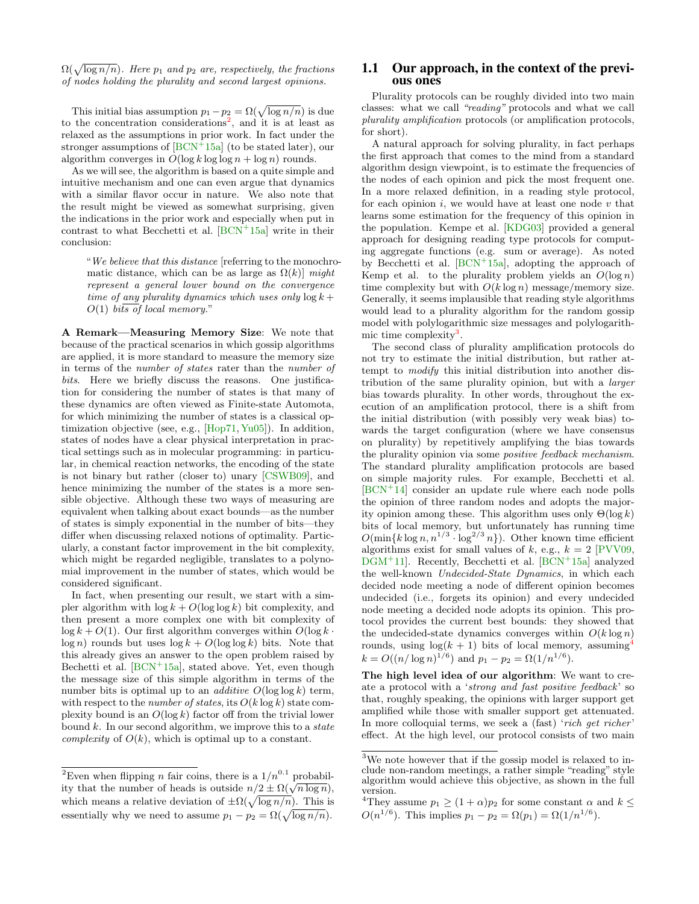$\Omega(\sqrt{\log n/n})$ . Here  $p_1$  and  $p_2$  are, respectively, the fractions of nodes holding the plurality and second largest opinions.

This initial bias assumption  $p_1 - p_2 = \Omega(\sqrt{\log n/n})$  is due to the concentration considerations<sup>[2](#page-1-0)</sup>, and it is at least as relaxed as the assumptions in prior work. In fact under the stronger assumptions of  $[BCN^+15a]$  $[BCN^+15a]$  (to be stated later), our algorithm converges in  $O(\log k \log \log n + \log n)$  rounds.

As we will see, the algorithm is based on a quite simple and intuitive mechanism and one can even argue that dynamics with a similar flavor occur in nature. We also note that the result might be viewed as somewhat surprising, given the indications in the prior work and especially when put in contrast to what Becchetti et al.  $[BCN^+15a]$  $[BCN^+15a]$  write in their conclusion:

"We believe that this distance [referring to the monochromatic distance, which can be as large as  $\Omega(k)$  might represent a general lower bound on the convergence time of any plurality dynamics which uses only  $\log k +$  $O(1)$  bits of local memory."

A Remark—Measuring Memory Size: We note that because of the practical scenarios in which gossip algorithms are applied, it is more standard to measure the memory size in terms of the number of states rater than the number of bits. Here we briefly discuss the reasons. One justification for considering the number of states is that many of these dynamics are often viewed as Finite-state Automota, for which minimizing the number of states is a classical optimization objective (see, e.g., [\[Hop71,](#page-9-14) [Yu05\]](#page-9-15)). In addition, states of nodes have a clear physical interpretation in practical settings such as in molecular programming: in particular, in chemical reaction networks, the encoding of the state is not binary but rather (closer to) unary [\[CSWB09\]](#page-9-16), and hence minimizing the number of the states is a more sensible objective. Although these two ways of measuring are equivalent when talking about exact bounds—as the number of states is simply exponential in the number of bits—they differ when discussing relaxed notions of optimality. Particularly, a constant factor improvement in the bit complexity, which might be regarded negligible, translates to a polynomial improvement in the number of states, which would be considered significant.

In fact, when presenting our result, we start with a simpler algorithm with  $\log k + O(\log \log k)$  bit complexity, and then present a more complex one with bit complexity of  $\log k + O(1)$ . Our first algorithm converges within  $O(\log k \cdot$  $\log n$ ) rounds but uses  $\log k + O(\log \log k)$  bits. Note that this already gives an answer to the open problem raised by Bechetti et al.  $[BCN^+15a]$  $[BCN^+15a]$ , stated above. Yet, even though the message size of this simple algorithm in terms of the number bits is optimal up to an *additive*  $O(\log \log k)$  term, with respect to the *number of states*, its  $O(k \log k)$  state complexity bound is an  $O(\log k)$  factor off from the trivial lower bound  $k$ . In our second algorithm, we improve this to a state *complexity* of  $O(k)$ , which is optimal up to a constant.

## 1.1 Our approach, in the context of the previous ones

Plurality protocols can be roughly divided into two main classes: what we call "reading" protocols and what we call plurality amplification protocols (or amplification protocols, for short).

A natural approach for solving plurality, in fact perhaps the first approach that comes to the mind from a standard algorithm design viewpoint, is to estimate the frequencies of the nodes of each opinion and pick the most frequent one. In a more relaxed definition, in a reading style protocol, for each opinion  $i$ , we would have at least one node  $v$  that learns some estimation for the frequency of this opinion in the population. Kempe et al. [\[KDG03\]](#page-9-13) provided a general approach for designing reading type protocols for computing aggregate functions (e.g. sum or average). As noted by Becchetti et al.  $|BCN^+15a|$ , adopting the approach of Kemp et al. to the plurality problem yields an  $O(\log n)$ time complexity but with  $O(k \log n)$  message/memory size. Generally, it seems implausible that reading style algorithms would lead to a plurality algorithm for the random gossip model with polylogarithmic size messages and polylogarith-mic time complexity<sup>[3](#page-1-1)</sup>.

The second class of plurality amplification protocols do not try to estimate the initial distribution, but rather attempt to modify this initial distribution into another distribution of the same plurality opinion, but with a larger bias towards plurality. In other words, throughout the execution of an amplification protocol, there is a shift from the initial distribution (with possibly very weak bias) towards the target configuration (where we have consensus on plurality) by repetitively amplifying the bias towards the plurality opinion via some positive feedback mechanism. The standard plurality amplification protocols are based on simple majority rules. For example, Becchetti et al.  $[BCN<sup>+</sup>14]$  $[BCN<sup>+</sup>14]$  consider an update rule where each node polls the opinion of three random nodes and adopts the majority opinion among these. This algorithm uses only  $\Theta(\log k)$ bits of local memory, but unfortunately has running time  $O(\min\{k \log n, n^{1/3} \cdot \log^{2/3} n\})$ . Other known time efficient algorithms exist for small values of k, e.g.,  $k = 2$  [\[PVV09,](#page-9-12)  $DGM<sup>+</sup>11$  $DGM<sup>+</sup>11$ . Recently, Becchetti et al.  $|BCN<sup>+</sup>15a|$  analyzed the well-known Undecided-State Dynamics, in which each decided node meeting a node of different opinion becomes undecided (i.e., forgets its opinion) and every undecided node meeting a decided node adopts its opinion. This protocol provides the current best bounds: they showed that the undecided-state dynamics converges within  $O(k \log n)$ rounds, using  $log(k + 1)$  bits of local memory, assuming<sup>[4](#page-1-2)</sup>  $k = O((n/\log n)^{1/6})$  and  $p_1 - p_2 = \Omega(1/n^{1/6})$ .

The high level idea of our algorithm: We want to create a protocol with a 'strong and fast positive feedback' so that, roughly speaking, the opinions with larger support get amplified while those with smaller support get attenuated. In more colloquial terms, we seek a (fast) 'rich get richer effect. At the high level, our protocol consists of two main

<span id="page-1-0"></span><sup>&</sup>lt;sup>2</sup>Even when flipping *n* fair coins, there is a  $1/n^{0.1}$  probabil-Even when inpping *n* iair coins, there is a  $1/n$  probability that the number of heads is outside  $n/2 \pm \Omega(\sqrt{n \log n})$ , which means a relative deviation of  $\pm \Omega(\sqrt{\log n/n})$ . This is essentially why we need to assume  $p_1 - p_2 = \Omega(\sqrt{\log n/n}).$ 

<span id="page-1-1"></span><sup>3</sup>We note however that if the gossip model is relaxed to include non-random meetings, a rather simple "reading" style algorithm would achieve this objective, as shown in the full version.

<span id="page-1-2"></span><sup>&</sup>lt;sup>4</sup>They assume  $p_1 \ge (1+\alpha)p_2$  for some constant  $\alpha$  and  $k \le$  $O(n^{1/6})$ . This implies  $p_1 - p_2 = \Omega(p_1) = \Omega(1/n^{1/6})$ .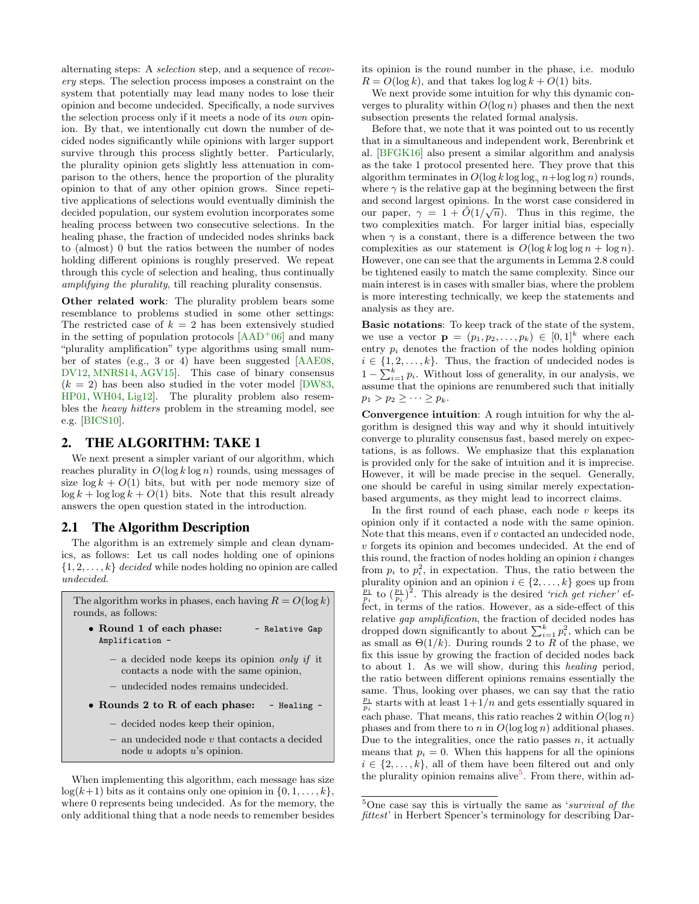alternating steps: A selection step, and a sequence of recovery steps. The selection process imposes a constraint on the system that potentially may lead many nodes to lose their opinion and become undecided. Specifically, a node survives the selection process only if it meets a node of its own opinion. By that, we intentionally cut down the number of decided nodes significantly while opinions with larger support survive through this process slightly better. Particularly, the plurality opinion gets slightly less attenuation in comparison to the others, hence the proportion of the plurality opinion to that of any other opinion grows. Since repetitive applications of selections would eventually diminish the decided population, our system evolution incorporates some healing process between two consecutive selections. In the healing phase, the fraction of undecided nodes shrinks back to (almost) 0 but the ratios between the number of nodes holding different opinions is roughly preserved. We repeat through this cycle of selection and healing, thus continually amplifying the plurality, till reaching plurality consensus.

Other related work: The plurality problem bears some resemblance to problems studied in some other settings: The restricted case of  $k = 2$  has been extensively studied in the setting of population protocols  $[AAD+06]$  $[AAD+06]$  and many "plurality amplification" type algorithms using small number of states (e.g., 3 or 4) have been suggested [\[AAE08,](#page-8-3) [DV12,](#page-9-18) [MNRS14,](#page-9-19) [AGV15\]](#page-8-4). This case of binary consensus  $(k = 2)$  has been also studied in the voter model [\[DW83,](#page-9-20) [HP01,](#page-9-21) [WH04,](#page-9-22) [Lig12\]](#page-9-23). The plurality problem also resembles the heavy hitters problem in the streaming model, see e.g. [\[BICS10\]](#page-9-24).

## 2. THE ALGORITHM: TAKE 1

We next present a simpler variant of our algorithm, which reaches plurality in  $O(\log k \log n)$  rounds, using messages of size  $\log k + O(1)$  bits, but with per node memory size of  $\log k + \log \log k + O(1)$  bits. Note that this result already answers the open question stated in the introduction.

# 2.1 The Algorithm Description

The algorithm is an extremely simple and clean dynamics, as follows: Let us call nodes holding one of opinions  $\{1, 2, \ldots, k\}$  decided while nodes holding no opinion are called undecided.

The algorithm works in phases, each having  $R = O(\log k)$ rounds, as follows:

- Round 1 of each phase: Relative Gap Amplification -
	- $-$  a decided node keeps its opinion only if it contacts a node with the same opinion,
	- undecided nodes remains undecided.
- Rounds 2 to R of each phase: Healing
	- decided nodes keep their opinion,
	- $-$  an undecided node  $v$  that contacts a decided node u adopts u's opinion.

When implementing this algorithm, each message has size  $log(k+1)$  bits as it contains only one opinion in  $\{0, 1, \ldots, k\},$ where 0 represents being undecided. As for the memory, the only additional thing that a node needs to remember besides its opinion is the round number in the phase, i.e. modulo  $R = O(\log k)$ , and that takes  $\log \log k + O(1)$  bits.

We next provide some intuition for why this dynamic converges to plurality within  $O(\log n)$  phases and then the next subsection presents the related formal analysis.

Before that, we note that it was pointed out to us recently that in a simultaneous and independent work, Berenbrink et al. [\[BFGK16\]](#page-9-25) also present a similar algorithm and analysis as the take 1 protocol presented here. They prove that this algorithm terminates in  $O(\log k \log \log_{\alpha} n + \log \log n)$  rounds, where  $\gamma$  is the relative gap at the beginning between the first and second largest opinions. In the worst case considered in our paper,  $\gamma = 1 + \tilde{O}(1/\sqrt{n})$ . Thus in this regime, the two complexities match. For larger initial bias, especially when  $\gamma$  is a constant, there is a difference between the two complexities as our statement is  $O(\log k \log \log n + \log n)$ . However, one can see that the arguments in Lemma 2.8 could be tightened easily to match the same complexity. Since our main interest is in cases with smaller bias, where the problem is more interesting technically, we keep the statements and analysis as they are.

Basic notations: To keep track of the state of the system, we use a vector  $\mathbf{p} = (p_1, p_2, \dots, p_k) \in [0,1]^k$  where each entry  $p_i$  denotes the fraction of the nodes holding opinion  $i \in \{1, 2, \ldots, k\}$ . Thus, the fraction of undecided nodes is  $1 - \sum_{i=1}^{k} p_i$ . Without loss of generality, in our analysis, we assume that the opinions are renumbered such that initially  $p_1 > p_2 \geq \cdots \geq p_k$ .

Convergence intuition: A rough intuition for why the algorithm is designed this way and why it should intuitively converge to plurality consensus fast, based merely on expectations, is as follows. We emphasize that this explanation is provided only for the sake of intuition and it is imprecise. However, it will be made precise in the sequel. Generally, one should be careful in using similar merely expectationbased arguments, as they might lead to incorrect claims.

In the first round of each phase, each node  $v$  keeps its opinion only if it contacted a node with the same opinion. Note that this means, even if  $v$  contacted an undecided node, v forgets its opinion and becomes undecided. At the end of this round, the fraction of nodes holding an opinion  $i$  changes from  $p_i$  to  $p_i^2$ , in expectation. Thus, the ratio between the plurality opinion and an opinion  $i \in \{2, \ldots, k\}$  goes up from  $\frac{p_1}{p_i}$  to  $(\frac{p_1}{p_i})^2$ . This already is the desired 'rich get richer' effect, in terms of the ratios. However, as a side-effect of this relative gap amplification, the fraction of decided nodes has dropped down significantly to about  $\sum_{i=1}^{k} p_i^2$ , which can be as small as  $\Theta(1/k)$ . During rounds 2 to R of the phase, we fix this issue by growing the fraction of decided nodes back to about 1. As we will show, during this healing period, the ratio between different opinions remains essentially the same. Thus, looking over phases, we can say that the ratio  $\frac{p_1}{p_i}$  starts with at least  $1+1/n$  and gets essentially squared in each phase. That means, this ratio reaches 2 within  $O(\log n)$ phases and from there to n in  $O(\log \log n)$  additional phases. Due to the integralities, once the ratio passes  $n$ , it actually means that  $p_i = 0$ . When this happens for all the opinions  $i \in \{2, \ldots, k\}$ , all of them have been filtered out and only the plurality opinion remains alive<sup>[5](#page-2-0)</sup>. From there, within ad-

<span id="page-2-0"></span> $5$ One case say this is virtually the same as 'survival of the fittest' in Herbert Spencer's terminology for describing Dar-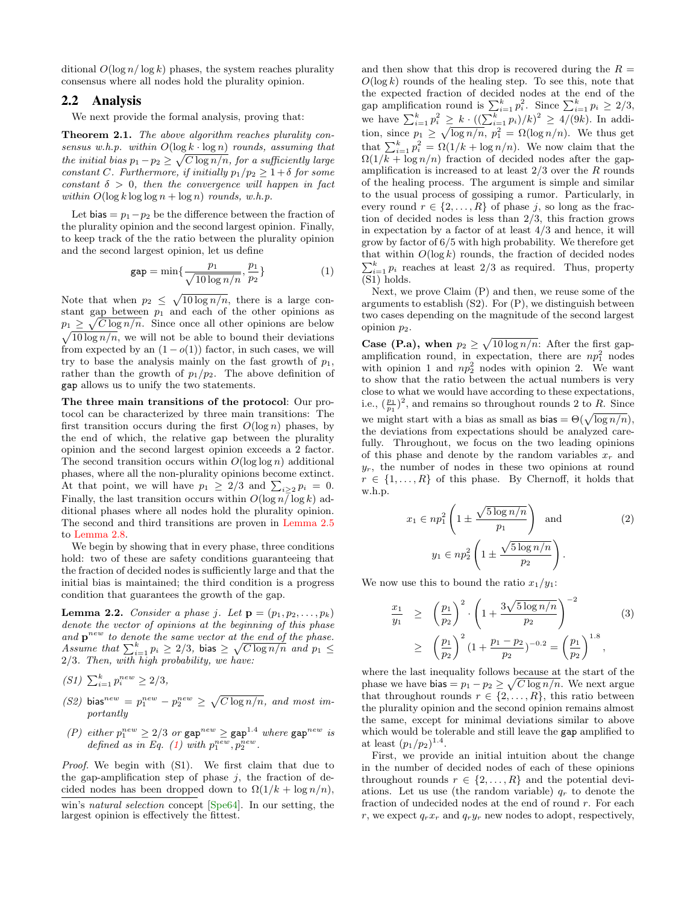ditional  $O(\log n/\log k)$  phases, the system reaches plurality consensus where all nodes hold the plurality opinion.

### 2.2 Analysis

We next provide the formal analysis, proving that:

<span id="page-3-2"></span>Theorem 2.1. The above algorithm reaches plurality consensus w.h.p. within  $O(\log k \cdot \log n)$  rounds, assuming that the initial bias  $p_1 - p_2 \geq \sqrt{C \log n/n}$ , for a sufficiently large constant C. Furthermore, if initially  $p_1/p_2 \geq 1+\delta$  for some constant  $\delta > 0$ , then the convergence will happen in fact within  $O(\log k \log \log n + \log n)$  rounds, w.h.p.

Let bias =  $p_1-p_2$  be the difference between the fraction of the plurality opinion and the second largest opinion. Finally, to keep track of the the ratio between the plurality opinion and the second largest opinion, let us define

<span id="page-3-0"></span>
$$
gap = \min\{\frac{p_1}{\sqrt{10\log n/n}}, \frac{p_1}{p_2}\}\
$$
 (1)

Note that when  $p_2 \leq \sqrt{10 \log n/n}$ , there is a large constant gap between  $p_1$  and each of the other opinions as  $p_1 \geq \sqrt{C \log n/n}$ . Since once all other opinions are below  $\sqrt{10 \log n/n}$ , we will not be able to bound their deviations from expected by an  $(1 - o(1))$  factor, in such cases, we will try to base the analysis mainly on the fast growth of  $p_1$ , rather than the growth of  $p_1/p_2$ . The above definition of gap allows us to unify the two statements.

The three main transitions of the protocol: Our protocol can be characterized by three main transitions: The first transition occurs during the first  $O(\log n)$  phases, by the end of which, the relative gap between the plurality opinion and the second largest opinion exceeds a 2 factor. The second transition occurs within  $O(\log \log n)$  additional phases, where all the non-plurality opinions become extinct. At that point, we will have  $p_1 \geq 2/3$  and  $\sum_{i \geq 2} p_i = 0$ . Finally, the last transition occurs within  $O(\log n / \log k)$  additional phases where all nodes hold the plurality opinion. The second and third transitions are proven in [Lemma 2.5](#page-5-0) to [Lemma 2.8.](#page-6-0)

We begin by showing that in every phase, three conditions hold: two of these are safety conditions guaranteeing that the fraction of decided nodes is sufficiently large and that the initial bias is maintained; the third condition is a progress condition that guarantees the growth of the gap.

<span id="page-3-1"></span>**Lemma 2.2.** Consider a phase j. Let  $\mathbf{p} = (p_1, p_2, \ldots, p_k)$ denote the vector of opinions at the beginning of this phase and  $\mathbf{p}^{new}$  to denote the same vector at the end of the phase. Assume that  $\sum_{i=1}^{k} p_i \geq 2/3$ , bias  $\geq \sqrt{C \log n/n}$  and  $p_1 \leq$ 2/3. Then, with high probability, we have:

- (S1)  $\sum_{i=1}^{k} p_i^{new} \geq 2/3$ ,
- (S2) bias<sup>new</sup> =  $p_1^{new} p_2^{new} \ge \sqrt{C \log n/n}$ , and most importantly
- (P) either  $p_1^{new} \ge 2/3$  or  $\text{gap}^{new} \ge \text{gap}^{1.4}$  where  $\text{gap}^{new}$  is defined as in Eq. [\(1\)](#page-3-0) with  $p_1^{new}, p_2^{new}$ .

Proof. We begin with (S1). We first claim that due to the gap-amplification step of phase  $j$ , the fraction of decided nodes has been dropped down to  $\Omega(1/k + \log n/n)$ ,

win's natural selection concept [\[Spe64\]](#page-9-26). In our setting, the largest opinion is effectively the fittest.

and then show that this drop is recovered during the  $R =$  $O(\log k)$  rounds of the healing step. To see this, note that the expected fraction of decided nodes at the end of the gap amplification round is  $\sum_{i=1}^{k} p_i^2$ . Since  $\sum_{i=1}^{k} p_i \geq 2/3$ , we have  $\sum_{i=1}^{k} p_i^2 \geq k \cdot ((\sum_{i=1}^{k} p_i)/k)^2 \geq 4/(9k)$ . In addition, since  $p_1 \geq \sqrt{\log n/n}$ ,  $p_1^2 = \Omega(\log n/n)$ . We thus get that  $\sum_{i=1}^{k} p_i^2 = \Omega(1/k + \log n/n)$ . We now claim that the  $\Omega(1/k + \log n/n)$  fraction of decided nodes after the gapamplification is increased to at least  $2/3$  over the R rounds of the healing process. The argument is simple and similar to the usual process of gossiping a rumor. Particularly, in every round  $r \in \{2, ..., R\}$  of phase j, so long as the fraction of decided nodes is less than 2/3, this fraction grows in expectation by a factor of at least  $4/3$  and hence, it will grow by factor of 6/5 with high probability. We therefore get that within  $O(\log k)$  rounds, the fraction of decided nodes  $\sum_{i=1}^{k} p_i$  reaches at least 2/3 as required. Thus, property (S1) holds.

Next, we prove Claim (P) and then, we reuse some of the arguments to establish  $(S2)$ . For  $(P)$ , we distinguish between two cases depending on the magnitude of the second largest opinion  $p_2$ .

**Case (P.a), when**  $p_2 \ge \sqrt{10 \log n/n}$ : After the first gapamplification round, in expectation, there are  $np_1^2$  nodes with opinion 1 and  $np_2^2$  nodes with opinion 2. We want to show that the ratio between the actual numbers is very close to what we would have according to these expectations, i.e.,  $(\frac{p_1}{p_1})^2$ , and remains so throughout rounds 2 to R. Since we might start with a bias as small as bias =  $\Theta(\sqrt{\log n/n})$ , the deviations from expectations should be analyzed carefully. Throughout, we focus on the two leading opinions of this phase and denote by the random variables  $x_r$  and  $y_r$ , the number of nodes in these two opinions at round  $r \in \{1, \ldots, R\}$  of this phase. By Chernoff, it holds that w.h.p.

$$
x_1 \in np_1^2 \left( 1 \pm \frac{\sqrt{5 \log n/n}}{p_1} \right) \text{ and } (2)
$$

$$
y_1 \in np_2^2 \left( 1 \pm \frac{\sqrt{5 \log n/n}}{p_2} \right).
$$

We now use this to bound the ratio  $x_1/y_1$ :

$$
\frac{x_1}{y_1} \ge \left(\frac{p_1}{p_2}\right)^2 \cdot \left(1 + \frac{3\sqrt{5\log n/n}}{p_2}\right)^{-2} \tag{3}
$$
\n
$$
\ge \left(\frac{p_1}{p_2}\right)^2 \left(1 + \frac{p_1 - p_2}{p_2}\right)^{-0.2} = \left(\frac{p_1}{p_2}\right)^{1.8},
$$

where the last inequality follows because at the start of the phase we have bias  $= p_1 - p_2 \ge \sqrt{C \log n/n}$ . We next argue that throughout rounds  $r \in \{2, \ldots, R\}$ , this ratio between the plurality opinion and the second opinion remains almost the same, except for minimal deviations similar to above which would be tolerable and still leave the gap amplified to at least  $(p_1/p_2)^{1.4}$ .

First, we provide an initial intuition about the change in the number of decided nodes of each of these opinions throughout rounds  $r \in \{2, ..., R\}$  and the potential deviations. Let us use (the random variable)  $q_r$  to denote the fraction of undecided nodes at the end of round r. For each r, we expect  $q_r x_r$  and  $q_r y_r$  new nodes to adopt, respectively,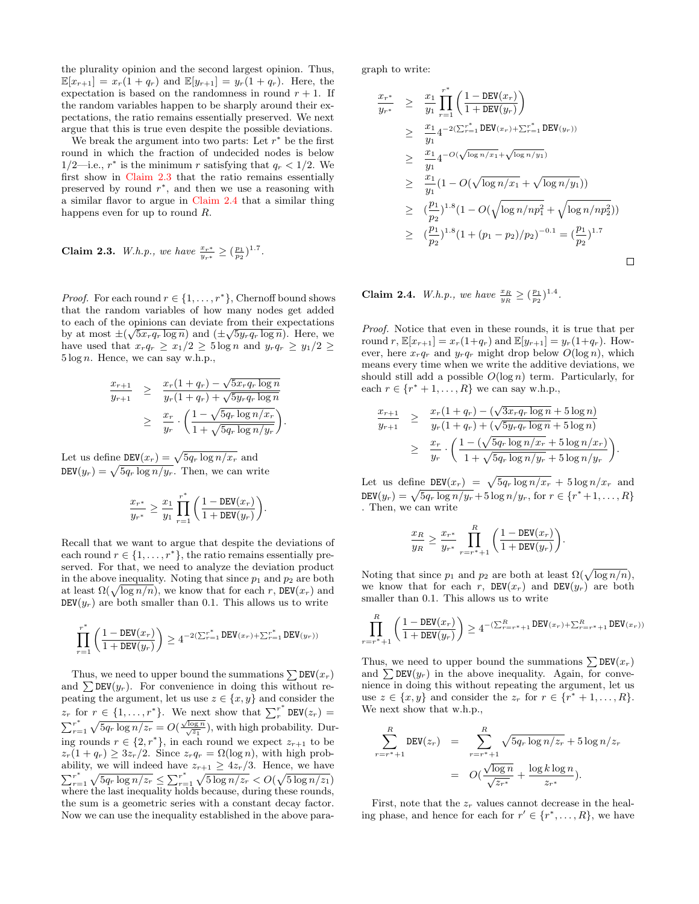the plurality opinion and the second largest opinion. Thus,  $\mathbb{E}[x_{r+1}] = x_r(1+q_r)$  and  $\mathbb{E}[y_{r+1}] = y_r(1+q_r)$ . Here, the expectation is based on the randomness in round  $r + 1$ . If the random variables happen to be sharply around their expectations, the ratio remains essentially preserved. We next argue that this is true even despite the possible deviations.

We break the argument into two parts: Let  $r^*$  be the first round in which the fraction of undecided nodes is below 1/2—i.e.,  $r^*$  is the minimum r satisfying that  $q_r < 1/2$ . We first show in [Claim 2.3](#page-4-0) that the ratio remains essentially preserved by round  $r^*$ , and then we use a reasoning with a similar flavor to argue in [Claim 2.4](#page-4-1) that a similar thing happens even for up to round R.

<span id="page-4-0"></span>Claim 2.3. W.h.p., we have  $\frac{x_{r*}}{y_{r*}} \geq (\frac{p_1}{p_2})^{1.7}$ .

*Proof.* For each round  $r \in \{1, \ldots, r^*\}$ , Chernoff bound shows that the random variables of how many nodes get added to each of the opinions can deviate from their expectations by at most  $\pm(\sqrt{5x_r q_r \log n})$  and  $(\pm\sqrt{5y_r q_r \log n})$ . Here, we have used that  $x_r q_r \geq x_1/2 \geq 5 \log n$  and  $y_r q_r \geq y_1/2 \geq 1$  $5 \log n$ . Hence, we can say w.h.p.,

$$
\frac{x_{r+1}}{y_{r+1}} \geq \frac{x_r(1+q_r) - \sqrt{5x_r q_r \log n}}{y_r(1+q_r) + \sqrt{5y_r q_r \log n}} \n\geq \frac{x_r}{y_r} \cdot \left(\frac{1 - \sqrt{5q_r \log n/x_r}}{1 + \sqrt{5q_r \log n/y_r}}\right).
$$

Let us define  $DEV(x_r) = \sqrt{5q_r \log n/x_r}$  and  $\texttt{DEV}(y_r) = \sqrt{5q_r \log n/y_r}$ . Then, we can write

$$
\frac{x_{r^*}}{y_{r^*}}\geq \frac{x_1}{y_1}\prod_{r=1}^{r^*}\bigg(\frac{1-\mathtt{DEV}(x_r)}{1+\mathtt{DEV}(y_r)}\bigg).
$$

Recall that we want to argue that despite the deviations of each round  $r \in \{1, \ldots, r^*\}$ , the ratio remains essentially preserved. For that, we need to analyze the deviation product in the above inequality. Noting that since  $p_1$  and  $p_2$  are both at least  $\Omega(\sqrt{\log n/n})$ , we know that for each r, DEV(x<sub>r</sub>) and  $DEV(y_r)$  are both smaller than 0.1. This allows us to write

$$
\prod_{r=1}^{r^*}\left(\frac{1-\mathtt{DEV}(x_r)}{1+\mathtt{DEV}(y_r)}\right)\geq 4^{-2(\sum_{r=1}^{r^*}\mathtt{DEV}(x_r)+\sum_{r=1}^{r^*}\mathtt{DEV}(y_r))}
$$

Thus, we need to upper bound the summations  $\sum$  DEV( $x_r$ ) and  $\sum$ DEV( $y_r$ ). For convenience in doing this without repeating the argument, let us use  $z \in \{x, y\}$  and consider the  $z_r$  for  $r \in \{1, \ldots, r^*\}$ . We next show that  $\sum_r^{r^*}$  $\int_{r}^{r}$  DEV $(z_r)$  =  $\sum_{r=1}^{r*}$  $r_{r=1}^* \sqrt{5q_r \log n/z_r} = O(\frac{\sqrt{\log n}}{\sqrt{z_1}})$ , with high probability. During rounds  $r \in \{2, r^*\}$ , in each round we expect  $z_{r+1}$  to be  $z_r(1+q_r) \geq 3z_r/2$ . Since  $z_rq_r = \Omega(\log n)$ , with high probability, we will indeed have  $z_{r+1} \geq 4z_r/3$ . Hence, we have  $\sum_{r=1}^{r*}$  $r_{r=1}^* \sqrt{5q_r \log n/z_r} \leq \sum_{r=1}^r r_r^*$  $\int_{r=1}^{r^*} \sqrt{5 \log n/z_r} < O(\sqrt{5 \log n/z_1})$ where the last inequality holds because, during these rounds, the sum is a geometric series with a constant decay factor. Now we can use the inequality established in the above paragraph to write:

$$
\frac{x_{r^*}}{y_{r^*}} \geq \frac{x_1}{y_1} \prod_{r=1}^{r^*} \left( \frac{1 - DEV(x_r)}{1 + DEV(y_r)} \right)
$$
\n
$$
\geq \frac{x_1}{y_1} 4^{-2\left(\sum_{r=1}^{r^*} DEV(x_r) + \sum_{r=1}^{r^*} DEV(y_r)\right)}
$$
\n
$$
\geq \frac{x_1}{y_1} 4^{-O(\sqrt{\log n/x_1} + \sqrt{\log n/y_1})}
$$
\n
$$
\geq \frac{x_1}{y_1} (1 - O(\sqrt{\log n/x_1} + \sqrt{\log n/y_1}))
$$
\n
$$
\geq \left(\frac{p_1}{p_2}\right)^{1.8} (1 - O(\sqrt{\log n/np_1^2} + \sqrt{\log n/np_2^2}))
$$
\n
$$
\geq \left(\frac{p_1}{p_2}\right)^{1.8} (1 + (p_1 - p_2)/p_2)^{-0.1} = \left(\frac{p_1}{p_2}\right)^{1.7}
$$

<span id="page-4-1"></span>**Claim 2.4.** *W.h.p., we have*  $\frac{x_R}{y_R} \geq (\frac{p_1}{p_2})^{1.4}$ *.* 

Proof. Notice that even in these rounds, it is true that per round r,  $\mathbb{E}[x_{r+1}] = x_r(1+q_r)$  and  $\mathbb{E}[y_{r+1}] = y_r(1+q_r)$ . However, here  $x_r q_r$  and  $y_r q_r$  might drop below  $O(\log n)$ , which means every time when we write the additive deviations, we should still add a possible  $O(\log n)$  term. Particularly, for each  $r \in \{r^* + 1, \ldots, R\}$  we can say w.h.p.,

$$
\frac{x_{r+1}}{y_{r+1}} \geq \frac{x_r(1+q_r) - (\sqrt{3x_r q_r \log n} + 5 \log n)}{y_r(1+q_r) + (\sqrt{5y_r q_r \log n} + 5 \log n)} \n\geq \frac{x_r}{y_r} \cdot \left( \frac{1 - (\sqrt{5q_r \log n/x_r} + 5 \log n/x_r)}{1 + \sqrt{5q_r \log n/y_r} + 5 \log n/y_r} \right).
$$

Let us define DEV $(x_r) = \sqrt{5q_r \log n/x_r} + 5 \log n/x_r$  and  $\texttt{DEV}(y_r) = \sqrt{5q_r \log n/y_r} + 5 \log n/y_r$ , for  $r \in \{r^* + 1, \ldots, R\}$ . Then, we can write

$$
\frac{x_R}{y_R} \ge \frac{x_{r^*}}{y_{r^*}} \prod_{r=r^*+1}^R \left( \frac{1 - \text{DEV}(x_r)}{1 + \text{DEV}(y_r)} \right).
$$

Noting that since  $p_1$  and  $p_2$  are both at least  $\Omega(\sqrt{\log n/n}),$ we know that for each r,  $DEV(x_r)$  and  $DEV(y_r)$  are both smaller than 0.1. This allows us to write

$$
\prod_{r=r^*+1}^R \left( \frac{1 - DEV(x_r)}{1 + DEV(y_r)} \right) \ge 4^{-(\sum_{r=r^*+1}^R DEV(x_r) + \sum_{r=r^*+1}^R DEV(x_r))}
$$

Thus, we need to upper bound the summations  $\sum$  DEV( $x_r$ ) and  $\sum$ DEV( $y_r$ ) in the above inequality. Again, for convenience in doing this without repeating the argument, let us use  $z \in \{x, y\}$  and consider the  $z_r$  for  $r \in \{r^* + 1, \ldots, R\}$ . We next show that w.h.p.,

$$
\sum_{r=r^{*}+1}^{R} \text{DEV}(z_{r}) = \sum_{r=r^{*}+1}^{R} \sqrt{5q_{r} \log n/z_{r}} + 5 \log n/z_{r}
$$

$$
= O(\frac{\sqrt{\log n}}{\sqrt{z_{r^{*}}}} + \frac{\log k \log n}{z_{r^{*}}}).
$$

First, note that the  $z_r$  values cannot decrease in the healing phase, and hence for each for  $r' \in \{r^*, \ldots, R\}$ , we have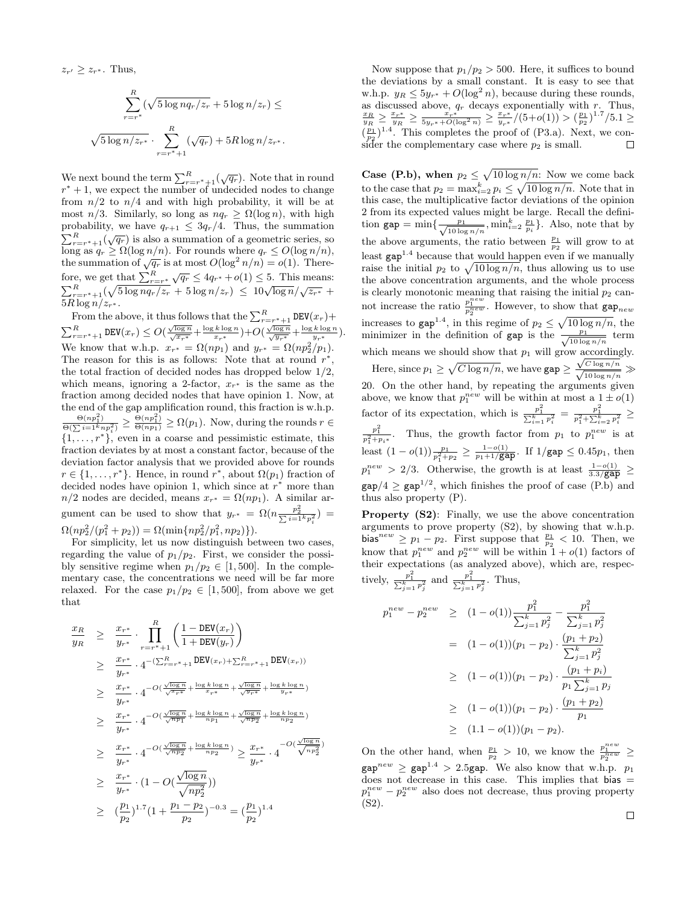$z_{r'} \geq z_{r^*}$ . Thus,

$$
\sum_{r=r^*}^{R} (\sqrt{5 \log n q_r / z_r} + 5 \log n / z_r) \le
$$
  

$$
\sqrt{5 \log n / z_{r^*}} \cdot \sum_{r=r^*+1}^{R} (\sqrt{q_r}) + 5R \log n / z_{r^*}.
$$

We next bound the term  $\sum_{r=r^*+1}^{R}(\sqrt{q_r})$ . Note that in round  $r^* + 1$ , we expect the number of undecided nodes to change from  $n/2$  to  $n/4$  and with high probability, it will be at most  $n/3$ . Similarly, so long as  $nq_r \geq \Omega(\log n)$ , with high probability, we have  $q_{r+1} \leq 3q_r/4$ . Thus, the summation  $\sum_{r=r^{*}+1}^{R} (\sqrt{q_r})$  is also a summation of a geometric series, so long as  $q_r \ge \Omega(\log n/n)$ . For rounds where  $q_r \le O(\log n/n)$ , the summation of  $\sqrt{q_r}$  is at most  $O(\log^2 n/n) = o(1)$ . Therefore, we get that  $\sum_{r=r^*}^{R} \sqrt{q_r} \leq 4q_r^* + o(1) \leq 5$ . This means: Profit we get that  $\frac{p_{r=r^*}}{p_{r=r^*+1}} \sqrt{4r} = 4q_{r^*} + 6(1) \le 0$ . This means.<br>  $\sum_{r=r^*+1}^R (\sqrt{5 \log n q_r}/z_r + 5 \log n/z_r) \le 10\sqrt{\log n}/\sqrt{z_{r^*}} +$  $5R\log n/z_{r^*}$ .

From the above, it thus follows that the  $\sum_{r=r^*+1}^{R} \texttt{DEV}(x_r) +$  $\sum_{r=r^*+1}^{R} \mathtt{DEV}(x_r) \leq O(\frac{\sqrt{\log n}}{\sqrt{x_{r^*}}} + \frac{\log k \log n}{x_{r^*}}) + O(\frac{\sqrt{\log n}}{\sqrt{y_{r^*}}} + \frac{\log k \log n}{y_{r^*}}).$ We know that w.h.p.  $x_{r^*} = \Omega(np_1)$  and  $y_{r^*} = \Omega(np_2^2/p_1)$ . The reason for this is as follows: Note that at round  $r^*$ , the total fraction of decided nodes has dropped below 1/2, which means, ignoring a 2-factor,  $x_{r^*}$  is the same as the fraction among decided nodes that have opinion 1. Now, at the end of the gap amplification round, this fraction is w.h.p.  $\frac{\Theta(np_1^2)}{\Theta(\sum i=1^knp_i^2)} \geq \frac{\Theta(np_1^2)}{\Theta(np_1)} \geq \Omega(p_1)$ . Now, during the rounds  $r \in$  $\{1, \ldots, r^*\}$ , even in a coarse and pessimistic estimate, this fraction deviates by at most a constant factor, because of the deviation factor analysis that we provided above for rounds  $r \in \{1, \ldots, r^*\}$ . Hence, in round  $r^*$ , about  $\Omega(p_1)$  fraction of decided nodes have opinion 1, which since at  $r^*$  more than  $n/2$  nodes are decided, means  $x_{r^*} = \Omega(np_1)$ . A similar argument can be used to show that  $y_{r^*} = \Omega(n \frac{p_2^2}{\sum_{i=1}^{k} p_i^2}) =$  $\Omega(np_2^2/(p_1^2+p_2)) = \Omega(\min\{np_2^2/p_1^2,np_2)\}).$ 

For simplicity, let us now distinguish between two cases, regarding the value of  $p_1/p_2$ . First, we consider the possibly sensitive regime when  $p_1/p_2 \in [1, 500]$ . In the complementary case, the concentrations we need will be far more relaxed. For the case  $p_1/p_2 \in [1, 500]$ , from above we get that

$$
\frac{x_R}{y_R} \geq \frac{x_{r^*}}{y_{r^*}} \cdot \prod_{r=r^*+1}^{R} \left( \frac{1 - DEV(x_r)}{1 + DEV(y_r)} \right)
$$
\n
$$
\geq \frac{x_{r^*}}{y_{r^*}} \cdot 4^{-(\sum_{r=r^*+1}^{R} DEV(x_r) + \sum_{r=r^*+1}^{R} DEV(x_r))}
$$
\n
$$
\geq \frac{x_{r^*}}{y_{r^*}} \cdot 4^{-O(\frac{\sqrt{\log n}}{\sqrt{x_{r^*}}} + \frac{\log k \log n}{x_{r^*}} + \frac{\sqrt{\log n}}{\sqrt{y_{r^*}}} + \frac{\log k \log n}{y_{r^*}})}
$$
\n
$$
\geq \frac{x_{r^*}}{y_{r^*}} \cdot 4^{-O(\frac{\sqrt{\log n}}{\sqrt{n p_1}} + \frac{\log k \log n}{n p_1} + \frac{\sqrt{\log n}}{\sqrt{n p_2}} + \frac{\log k \log n}{n p_2})}
$$
\n
$$
\geq \frac{x_{r^*}}{y_{r^*}} \cdot 4^{-O(\frac{\sqrt{\log n}}{\sqrt{n p_2}} + \frac{\log k \log n}{n p_2})} \geq \frac{x_{r^*}}{y_{r^*}} \cdot 4^{-O(\frac{\sqrt{\log n}}{\sqrt{n p_2}})}
$$
\n
$$
\geq \frac{x_{r^*}}{y_{r^*}} \cdot (1 - O(\frac{\sqrt{\log n}}{\sqrt{n p_2^2}}))
$$
\n
$$
\geq (\frac{p_1}{p_2})^{1.7} (1 + \frac{p_1 - p_2}{p_2})^{-0.3} = (\frac{p_1}{p_2})^{1.4}
$$

Now suppose that  $p_1/p_2 > 500$ . Here, it suffices to bound the deviations by a small constant. It is easy to see that w.h.p.  $y_R \le 5y_{r^*} + O(\log^2 n)$ , because during these rounds, as discussed above,  $q_r$  decays exponentially with  $r$ . Thus,  $\frac{x_R}{y_R} \geq \frac{x_{r^*}}{y_R} \geq \frac{x_{r^*}}{5y_{r^*}+O(\log^2 n)} \geq \frac{x_{r^*}}{y_{r^*}}/(5+o(1)) > (\frac{p_1}{p_2})^{1.7}/5.1 \geq$  $(\frac{p_1}{p_2})^{1.4}$ . This completes the proof of (P3.a). Next, we consider the complementary case where  $p_2$  is small.  $\Box$ 

**Case (P.b), when**  $p_2 \leq \sqrt{10 \log n/n}$ : Now we come back to the case that  $p_2 = \max_{i=2}^k p_i \leq \sqrt{10 \log n/n}$ . Note that in this case, the multiplicative factor deviations of the opinion 2 from its expected values might be large. Recall the definition  $\text{gap} = \min\{\frac{p_1}{\sqrt{10 \log n/n}}, \min_{i=2}^k \frac{p_1}{p_i}\}.$  Also, note that by the above arguments, the ratio between  $\frac{p_1}{p_2}$  will grow to at least gap<sup>1</sup>.<sup>4</sup> because that would happen even if we manually raise the initial  $p_2$  to  $\sqrt{10 \log n/n}$ , thus allowing us to use the above concentration arguments, and the whole process is clearly monotonic meaning that raising the initial  $p_2$  cannot increase the ratio  $\frac{p_1^{new}}{p_2^{new}}$ . However, to show that  $\text{gap}_{new}$ increases to gap<sup>1.4</sup>, in this regime of  $p_2 \n\t\leq \sqrt{10 \log n/n}$ , the minimizer in the definition of gap is the  $\frac{p_1}{\sqrt{10 \log n/n}}$  term which means we should show that  $p_1$  will grow accordingly. Here, since  $p_1 \geq \sqrt{C \log n/n}$ , we have  $\texttt{gap} \geq 1$  $\frac{\sqrt{C \log n/n}}{\sqrt{10 \log n/n}} \gg$ 20. On the other hand, by repeating the arguments given above, we know that  $p_1^{new}$  will be within at most a  $1 \pm o(1)$ factor of its expectation, which is  $\frac{p_1^2}{\sum_{i=1}^k p_i^2} = \frac{p_1^2}{p_1^2 + \sum_{i=2}^k p_i^2} \ge$  $\frac{p_1^2}{p_1^2+p_i*}$ . Thus, the growth factor from  $p_1$  to  $p_1^{new}$  is at least  $(1 - o(1)) \frac{p_1}{p_1^2 + p_2} \ge \frac{1 - o(1)}{p_1 + 1/\text{gap}}$ . If  $1/\text{gap} \le 0.45p_1$ , then  $p_1^{new} > 2/3$ . Otherwise, the growth is at least  $\frac{1-o(1)}{3.3/\text{gap}} \geq$  $\text{gap}/4 \geq \text{gap}^{1/2}$ , which finishes the proof of case (P.b) and thus also property (P).

Property (S2): Finally, we use the above concentration arguments to prove property (S2), by showing that w.h.p. bias<sup>new</sup>  $\geq p_1 - p_2$ . First suppose that  $\frac{p_1}{p_2} < 10$ . Then, we know that  $p_1^{new}$  and  $p_2^{new}$  will be within  $1 + o(1)$  factors of their expectations (as analyzed above), which are, respectively,  $\frac{p_1^2}{\sum_{j=1}^k p_j^2}$  and  $\frac{p_1^2}{\sum_{j=1}^k p_j^2}$ . Thus,

$$
p_1^{new} - p_2^{new} \ge (1 - o(1)) \frac{p_1^2}{\sum_{j=1}^k p_j^2} - \frac{p_1^2}{\sum_{j=1}^k p_j^2}
$$
  
=  $(1 - o(1))(p_1 - p_2) \cdot \frac{(p_1 + p_2)}{\sum_{j=1}^k p_j^2}$   
 $\ge (1 - o(1))(p_1 - p_2) \cdot \frac{(p_1 + p_i)}{p_1 \sum_{j=1}^k p_j}$   
 $\ge (1 - o(1))(p_1 - p_2) \cdot \frac{(p_1 + p_2)}{p_1}$   
 $\ge (1.1 - o(1))(p_1 - p_2).$ 

<span id="page-5-0"></span>On the other hand, when  $\frac{p_1}{p_2} > 10$ , we know the  $\frac{p_1^{new}}{p_2^{new}} \geq$  $\gamma_{\rm gap}^{new} \geq \gamma_{\rm gap}^{1.4} > 2.5$ gap. We also know that w.h.p.  $p_1$ does not decrease in this case. This implies that  $bias =$  $p_1^{new} - p_2^{new}$  also does not decrease, thus proving property  $(S2)$ .

 $\Box$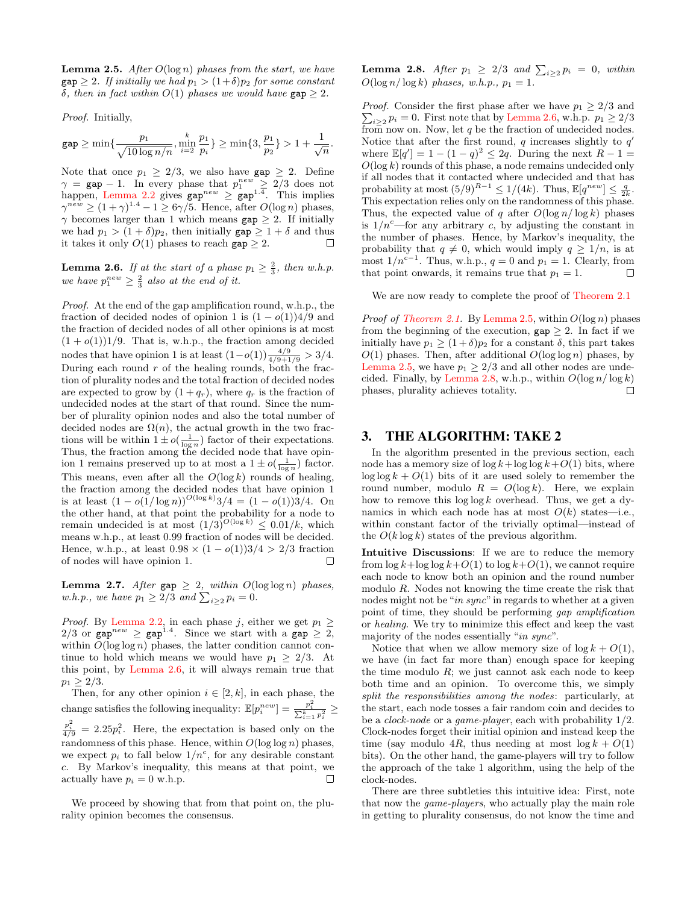**Lemma 2.5.** After  $O(\log n)$  phases from the start, we have  $\texttt{gap} \geq 2$ . If initially we had  $p_1 > (1+\delta)p_2$  for some constant δ, then in fact within  $O(1)$  phases we would have gap  $> 2$ .

Proof. Initially,

gap  $\geq \min\left\{\frac{p_1}{\sqrt{p_2}}\right\}$  $\frac{p_1}{\sqrt{10\log n/n}}, \min_{i=2}^k$  $p_1$  $\frac{p_1}{p_i}$ }  $\geq \min\{3, \frac{p_1}{p_2}\}$  $\frac{p_1}{p_2}$ } > 1 +  $\frac{1}{\sqrt{n}}$ .

Note that once  $p_1 \geq 2/3$ , we also have  $\text{gap} \geq 2$ . Define  $\gamma = \texttt{gap} - 1$ . In every phase that  $p_1^{new} \geq 2/3$  does not happen, [Lemma 2.2](#page-3-1) gives  $\text{gap}^{new} \geq \text{gap}^{1.4}$ . This implies  $\gamma^{new} \ge (1+\gamma)^{1.4} - 1 \ge 6\gamma/5$ . Hence, after  $O(\log n)$  phases,  $\gamma$  becomes larger than 1 which means gap  $\geq 2$ . If initially we had  $p_1 > (1 + \delta)p_2$ , then initially  $\text{gap} \geq 1 + \delta$  and thus it takes it only  $O(1)$  phases to reach gap  $\geq 2$ .  $\Box$ 

<span id="page-6-1"></span>**Lemma 2.6.** If at the start of a phase  $p_1 \geq \frac{2}{3}$ , then w.h.p. we have  $p_1^{new} \geq \frac{2}{3}$  also at the end of it.

Proof. At the end of the gap amplification round, w.h.p., the fraction of decided nodes of opinion 1 is  $(1 - o(1))4/9$  and the fraction of decided nodes of all other opinions is at most  $(1 + o(1))1/9$ . That is, w.h.p., the fraction among decided nodes that have opinion 1 is at least  $(1-o(1))\frac{4/9}{4/9+1/9} > 3/4$ . During each round  $r$  of the healing rounds, both the fraction of plurality nodes and the total fraction of decided nodes are expected to grow by  $(1+q_r)$ , where  $q_r$  is the fraction of undecided nodes at the start of that round. Since the number of plurality opinion nodes and also the total number of decided nodes are  $\Omega(n)$ , the actual growth in the two fractions will be within  $1 \pm o(\frac{1}{\log n})$  factor of their expectations. Thus, the fraction among the decided node that have opinion 1 remains preserved up to at most a  $1 \pm o(\frac{1}{\log n})$  factor. This means, even after all the  $O(\log k)$  rounds of healing, the fraction among the decided nodes that have opinion 1 is at least  $(1 - o(1/\log n))^{O(\log k)}$  3/4 =  $(1 - o(1))$  3/4. On the other hand, at that point the probability for a node to remain undecided is at most  $(1/3)^{O(\log k)} \leq 0.01/k$ , which means w.h.p., at least 0.99 fraction of nodes will be decided. Hence, w.h.p., at least  $0.98 \times (1 - o(1))3/4 > 2/3$  fraction of nodes will have opinion 1.  $\Box$ 

Lemma 2.7. After gap  $\geq 2$ , within  $O(\log \log n)$  phases, w.h.p., we have  $p_1 \geq 2/3$  and  $\sum_{i \geq 2} p_i = 0$ .

*Proof.* By [Lemma 2.2,](#page-3-1) in each phase j, either we get  $p_1 \geq$ 2/3 or  $\text{gap}^{new} \geq \text{gap}^{1.4}$ . Since we start with a  $\text{gap} \geq 2$ , within  $O(\log \log n)$  phases, the latter condition cannot continue to hold which means we would have  $p_1 > 2/3$ . At this point, by [Lemma 2.6,](#page-6-1) it will always remain true that  $p_1 \geq 2/3.$ 

Then, for any other opinion  $i \in [2, k]$ , in each phase, the change satisfies the following inequality:  $\mathbb{E}[p_i^{new}] = \frac{p_i^2}{\sum_{i=1}^k p_i^2} \geq$  $\frac{p_i^2}{4/9} = 2.25p_i^2$ . Here, the expectation is based only on the randomness of this phase. Hence, within  $O(\log \log n)$  phases, we expect  $p_i$  to fall below  $1/n^c$ , for any desirable constant c. By Markov's inequality, this means at that point, we actually have  $p_i = 0$  w.h.p.  $\Box$ 

<span id="page-6-0"></span>We proceed by showing that from that point on, the plurality opinion becomes the consensus.

**Lemma 2.8.** After  $p_1 \geq 2/3$  and  $\sum_{i \geq 2} p_i = 0$ , within  $O(\log n/\log k)$  phases, w.h.p.,  $p_1 = 1$ .

*Proof.* Consider the first phase after we have  $p_1 \geq 2/3$  and  $\sum_{i\geq 2} p_i = 0$ . First note that by [Lemma 2.6,](#page-6-1) w.h.p.  $p_1 \geq 2/3$ from now on. Now, let  $q$  be the fraction of undecided nodes. Notice that after the first round,  $q$  increases slightly to  $q'$ where  $\mathbb{E}[q'] = 1 - (1 - q)^2 \leq 2q$ . During the next  $R - 1 =$  $O(\log k)$  rounds of this phase, a node remains undecided only if all nodes that it contacted where undecided and that has probability at most  $(5/9)^{R-1} \le 1/(4k)$ . Thus,  $\mathbb{E}[q^{new}] \le \frac{q}{2k}$ . This expectation relies only on the randomness of this phase. Thus, the expected value of q after  $O(\log n/\log k)$  phases is  $1/n^c$ —for any arbitrary c, by adjusting the constant in the number of phases. Hence, by Markov's inequality, the probability that  $q \neq 0$ , which would imply  $q \geq 1/n$ , is at most  $1/n^{c-1}$ . Thus, w.h.p.,  $q = 0$  and  $p_1 = 1$ . Clearly, from that point onwards, it remains true that  $p_1 = 1$ .  $\Box$ 

We are now ready to complete the proof of [Theorem 2.1](#page-3-2)

*Proof of [Theorem 2.1.](#page-3-2)* By [Lemma 2.5,](#page-5-0) within  $O(\log n)$  phases from the beginning of the execution,  $\text{gap} \geq 2$ . In fact if we initially have  $p_1 \geq (1+\delta)p_2$  for a constant  $\delta$ , this part takes  $O(1)$  phases. Then, after additional  $O(\log \log n)$  phases, by [Lemma 2.5,](#page-5-0) we have  $p_1 \geq 2/3$  and all other nodes are unde-cided. Finally, by [Lemma 2.8,](#page-6-0) w.h.p., within  $O(\log n/\log k)$ phases, plurality achieves totality.  $\Box$ 

## 3. THE ALGORITHM: TAKE 2

In the algorithm presented in the previous section, each node has a memory size of  $\log k + \log \log k + O(1)$  bits, where  $\log \log k + O(1)$  bits of it are used solely to remember the round number, modulo  $R = O(\log k)$ . Here, we explain how to remove this  $\log \log k$  overhead. Thus, we get a dynamics in which each node has at most  $O(k)$  states—i.e., within constant factor of the trivially optimal—instead of the  $O(k \log k)$  states of the previous algorithm.

Intuitive Discussions: If we are to reduce the memory from  $\log k + \log \log k + O(1)$  to  $\log k + O(1)$ , we cannot require each node to know both an opinion and the round number modulo R. Nodes not knowing the time create the risk that nodes might not be "*in sync*" in regards to whether at a given point of time, they should be performing gap amplification or healing. We try to minimize this effect and keep the vast majority of the nodes essentially "in sync".

Notice that when we allow memory size of  $\log k + O(1)$ , we have (in fact far more than) enough space for keeping the time modulo  $R$ ; we just cannot ask each node to keep both time and an opinion. To overcome this, we simply split the responsibilities among the nodes: particularly, at the start, each node tosses a fair random coin and decides to be a *clock-node* or a *game-player*, each with probability  $1/2$ . Clock-nodes forget their initial opinion and instead keep the time (say modulo 4R, thus needing at most  $\log k + O(1)$ ) bits). On the other hand, the game-players will try to follow the approach of the take 1 algorithm, using the help of the clock-nodes.

There are three subtleties this intuitive idea: First, note that now the game-players, who actually play the main role in getting to plurality consensus, do not know the time and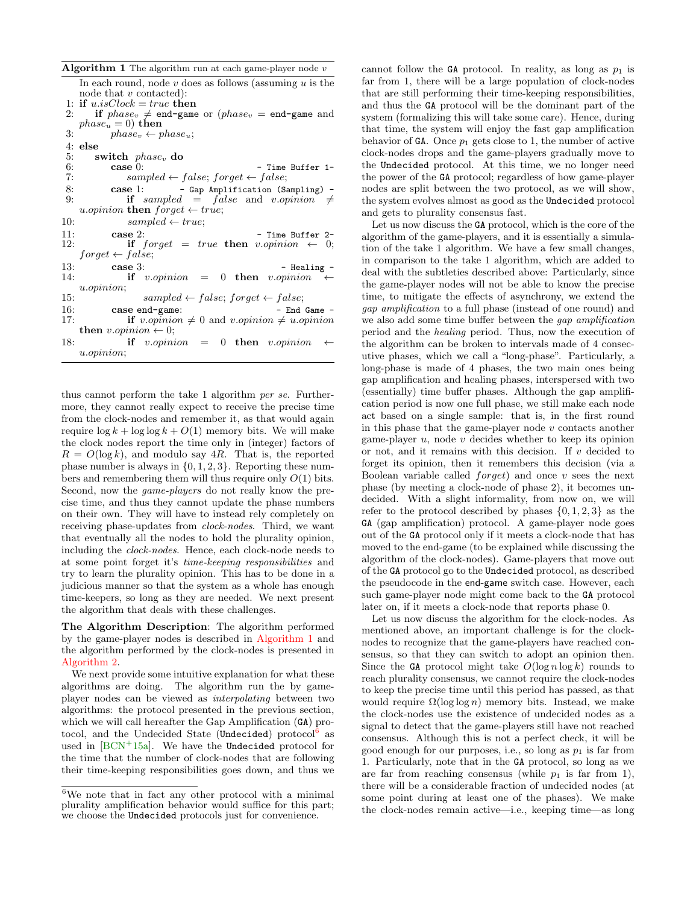**Algorithm 1** The algorithm run at each game-player node  $v$ In each round, node  $v$  does as follows (assuming  $u$  is the node that  $v$  contacted): 1: if  $u.isClock = true$  then 2: if  $phase_v \neq$  end-game or  $(phase_v =$  end-game and  $phase_u = 0$ ) then 3:  $phase_v \leftarrow phase_u;$ 4: else<br>5:  $\frac{4}{5}$ switch  $phase_v$  do case 0: 6: case 0:  $-$  Time Buffer 1-<br>7:  $sampled \leftarrow false; forget \leftarrow false;$  $sampled \leftarrow false; forget \leftarrow false;$ 8: case 1: - Gap Amplification (Sampling) -<br>9: if sampled = false and v.opinion  $\neq$ if sampled = false and v.opinion  $\neq$ u.opinion then  $forget \leftarrow true;$ 10:  $sampled \leftarrow true;$ 11: **case** 2: **if**  $f \text{ or } a \text{ or } f$  **case** 2: **if**  $f \text{ or } a \text{ or } f$  **c**  $f \text{ or } a \text{ or } f$  **c**  $f \text{ or } a \text{ or } a \text{ or } a \text{ or } a \text{ or } a \text{ or } a \text{ or } a \text{ or } a \text{ or } a \text{ or } a \text{ or } a \text{ or } a \text{ or } a \text{ or } a \text{ or } a \text{ or } a \text{ or } a \text{ or } a \text{ or } a \text{ or } a \text{ or } a \text{$ if forget = true then v.opinion  $\leftarrow$  0;  $forget \leftarrow false;$ 13: **case** 3:  $\begin{array}{rcl} \n\text{14:} & \text{if } v.\text{opinion} & = & 0 \n\end{array}$  then  $v.\text{opinion} \leftarrow$  $= 0$  then v.opinion  $\leftarrow$ u.opinion; 15:  $sampled \leftarrow false; forget \leftarrow false;$ 16: case end-game: - End Game -17: **if** v.*opinion*  $\neq 0$  and v.*opinion*  $\neq u$ .*opinion* then  $v\text{.opinion} \leftarrow 0;$ 18: **if** v.opinion = 0 **then** v.opinion u.opinion;

<span id="page-7-0"></span>thus cannot perform the take 1 algorithm per se. Furthermore, they cannot really expect to receive the precise time from the clock-nodes and remember it, as that would again require  $\log k$  +  $\log \log k$  +  $O(1)$  memory bits. We will make the clock nodes report the time only in (integer) factors of  $R = O(\log k)$ , and modulo say 4R. That is, the reported phase number is always in  $\{0, 1, 2, 3\}$ . Reporting these numbers and remembering them will thus require only  $O(1)$  bits. Second, now the *game-players* do not really know the precise time, and thus they cannot update the phase numbers on their own. They will have to instead rely completely on receiving phase-updates from clock-nodes. Third, we want that eventually all the nodes to hold the plurality opinion, including the clock-nodes. Hence, each clock-node needs to at some point forget it's time-keeping responsibilities and try to learn the plurality opinion. This has to be done in a judicious manner so that the system as a whole has enough time-keepers, so long as they are needed. We next present the algorithm that deals with these challenges.

The Algorithm Description: The algorithm performed by the game-player nodes is described in [Algorithm 1](#page-7-0) and the algorithm performed by the clock-nodes is presented in [Algorithm 2.](#page-7-0)

We next provide some intuitive explanation for what these algorithms are doing. The algorithm run the by gameplayer nodes can be viewed as interpolating between two algorithms: the protocol presented in the previous section, which we will call hereafter the Gap Amplification (GA) pro-tocol, and the Undecided State (Undecided) protocol<sup>[6](#page-7-1)</sup> as used in  $|BCN^+15a|$ . We have the Undecided protocol for the time that the number of clock-nodes that are following their time-keeping responsibilities goes down, and thus we cannot follow the GA protocol. In reality, as long as  $p_1$  is far from 1, there will be a large population of clock-nodes that are still performing their time-keeping responsibilities, and thus the GA protocol will be the dominant part of the system (formalizing this will take some care). Hence, during that time, the system will enjoy the fast gap amplification behavior of GA. Once  $p_1$  gets close to 1, the number of active clock-nodes drops and the game-players gradually move to the Undecided protocol. At this time, we no longer need the power of the GA protocol; regardless of how game-player nodes are split between the two protocol, as we will show, the system evolves almost as good as the Undecided protocol and gets to plurality consensus fast.

Let us now discuss the GA protocol, which is the core of the algorithm of the game-players, and it is essentially a simulation of the take 1 algorithm. We have a few small changes, in comparison to the take 1 algorithm, which are added to deal with the subtleties described above: Particularly, since the game-player nodes will not be able to know the precise time, to mitigate the effects of asynchrony, we extend the gap amplification to a full phase (instead of one round) and we also add some time buffer between the gap amplification period and the healing period. Thus, now the execution of the algorithm can be broken to intervals made of 4 consecutive phases, which we call a "long-phase". Particularly, a long-phase is made of 4 phases, the two main ones being gap amplification and healing phases, interspersed with two (essentially) time buffer phases. Although the gap amplification period is now one full phase, we still make each node act based on a single sample: that is, in the first round in this phase that the game-player node  $v$  contacts another game-player  $u$ , node  $v$  decides whether to keep its opinion or not, and it remains with this decision. If  $v$  decided to forget its opinion, then it remembers this decision (via a Boolean variable called  $forget)$  and once v sees the next phase (by meeting a clock-node of phase 2), it becomes undecided. With a slight informality, from now on, we will refer to the protocol described by phases  $\{0, 1, 2, 3\}$  as the GA (gap amplification) protocol. A game-player node goes out of the GA protocol only if it meets a clock-node that has moved to the end-game (to be explained while discussing the algorithm of the clock-nodes). Game-players that move out of the GA protocol go to the Undecided protocol, as described the pseudocode in the end-game switch case. However, each such game-player node might come back to the GA protocol later on, if it meets a clock-node that reports phase 0.

Let us now discuss the algorithm for the clock-nodes. As mentioned above, an important challenge is for the clocknodes to recognize that the game-players have reached consensus, so that they can switch to adopt an opinion then. Since the GA protocol might take  $O(\log n \log k)$  rounds to reach plurality consensus, we cannot require the clock-nodes to keep the precise time until this period has passed, as that would require  $\Omega(\log \log n)$  memory bits. Instead, we make the clock-nodes use the existence of undecided nodes as a signal to detect that the game-players still have not reached consensus. Although this is not a perfect check, it will be good enough for our purposes, i.e., so long as  $p_1$  is far from 1. Particularly, note that in the GA protocol, so long as we are far from reaching consensus (while  $p_1$  is far from 1), there will be a considerable fraction of undecided nodes (at some point during at least one of the phases). We make the clock-nodes remain active—i.e., keeping time—as long

<span id="page-7-1"></span> ${}^{6}\mathrm{We}$  note that in fact any other protocol with a minimal plurality amplification behavior would suffice for this part; we choose the Undecided protocols just for convenience.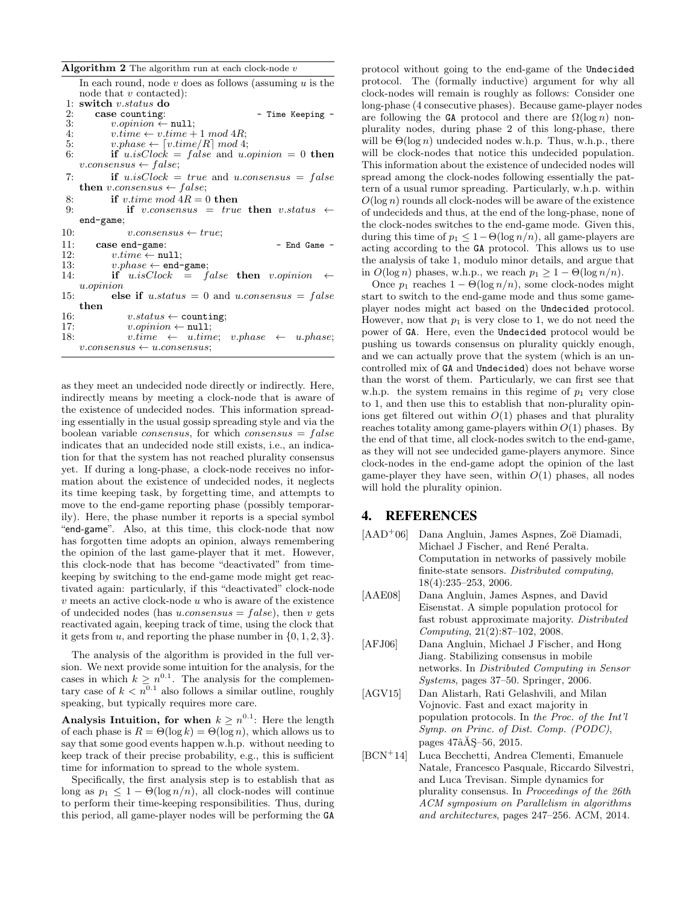Algorithm  $2$  The algorithm run at each clock-node  $v$ In each round, node  $v$  does as follows (assuming  $u$  is the node that  $v$  contacted): 1: switch  $v$ .status do  
2: case counting:2: case counting:  $v \rightarrow 3$ :  $v \rightarrow 3$ :  $v \rightarrow 3$ 3:  $v.\text{opinion} \leftarrow \text{null};$ <br>4:  $v.\text{time} \leftarrow v.\text{time} +$ 4:  $v.time \leftarrow v.time + 1 \mod 4R;$ <br>5:  $v.phase \leftarrow [v.time/R] \mod 4;$ 5:  $v.\text{phase} \leftarrow [v.\text{time}/R] \text{ mod } 4;$ <br>6: **if**  $u.isClock = false \text{ and } u.\text{cos}$ if  $u.isClock = false$  and  $u.open.$  = 0 then  $v.\nconsensus \leftarrow false;$ 7: if  $u.isClock = true$  and  $u.consensus = false$ then v.consensus  $\leftarrow false;$ 8: if v.time mod  $4R = 0$  then 9: if v.consensus = true then v.status  $\leftarrow$ end-game; 10:  $v \text{.consensus} \leftarrow true;$ 11: **case end-game:** - End Game - 12:  $v.time \leftarrow null;$ 12:  $v.time \leftarrow \text{null};$ <br>13:  $v.phase \leftarrow \text{end}$  $v. phase \leftarrow \texttt{end-game};$ 14: if  $u.isClock = false$  then  $v.opinion$ u.opinion 15: else if  $u$ .status = 0 and  $u$ .consensus = falsethen 16:  $v\:status \leftarrow \text{counting};$ <br>17:  $v.\text{oninion} \leftarrow \text{null};$ 17:  $v.\text{opinion} \leftarrow \text{null};$ <br>18:  $v.\text{time} \leftarrow u.\text{tim}$  $v.time \leftarrow u.time; v.phase \leftarrow u.phase;$  $v.\nconsensus \leftarrow u.\nconsensus$ 

as they meet an undecided node directly or indirectly. Here, indirectly means by meeting a clock-node that is aware of the existence of undecided nodes. This information spreading essentially in the usual gossip spreading style and via the boolean variable *consensus*, for which *consensus* =  $false$ indicates that an undecided node still exists, i.e., an indication for that the system has not reached plurality consensus yet. If during a long-phase, a clock-node receives no information about the existence of undecided nodes, it neglects its time keeping task, by forgetting time, and attempts to move to the end-game reporting phase (possibly temporarily). Here, the phase number it reports is a special symbol "end-game". Also, at this time, this clock-node that now has forgotten time adopts an opinion, always remembering the opinion of the last game-player that it met. However, this clock-node that has become "deactivated" from timekeeping by switching to the end-game mode might get reactivated again: particularly, if this "deactivated" clock-node  $\boldsymbol{v}$  meets an active clock-node  $\boldsymbol{u}$  who is aware of the existence of undecided nodes (has *u.consensus* =  $false$ ), then *v* gets reactivated again, keeping track of time, using the clock that it gets from u, and reporting the phase number in  $\{0, 1, 2, 3\}.$ 

The analysis of the algorithm is provided in the full version. We next provide some intuition for the analysis, for the cases in which  $k \geq n^{0.1}$ . The analysis for the complementary case of  $k < n^{0.1}$  also follows a similar outline, roughly speaking, but typically requires more care.

Analysis Intuition, for when  $k \geq n^{0.1}$ : Here the length of each phase is  $R = \Theta(\log k) = \Theta(\log n)$ , which allows us to say that some good events happen w.h.p. without needing to keep track of their precise probability, e.g., this is sufficient time for information to spread to the whole system.

Specifically, the first analysis step is to establish that as long as  $p_1 \leq 1 - \Theta(\log n/n)$ , all clock-nodes will continue to perform their time-keeping responsibilities. Thus, during this period, all game-player nodes will be performing the GA protocol without going to the end-game of the Undecided protocol. The (formally inductive) argument for why all clock-nodes will remain is roughly as follows: Consider one long-phase (4 consecutive phases). Because game-player nodes are following the GA protocol and there are  $\Omega(\log n)$  nonplurality nodes, during phase 2 of this long-phase, there will be  $\Theta(\log n)$  undecided nodes w.h.p. Thus, w.h.p., there will be clock-nodes that notice this undecided population. This information about the existence of undecided nodes will spread among the clock-nodes following essentially the pattern of a usual rumor spreading. Particularly, w.h.p. within  $O(\log n)$  rounds all clock-nodes will be aware of the existence of undecideds and thus, at the end of the long-phase, none of the clock-nodes switches to the end-game mode. Given this, during this time of  $p_1 \leq 1-\Theta(\log n/n)$ , all game-players are acting according to the GA protocol. This allows us to use the analysis of take 1, modulo minor details, and argue that in  $O(\log n)$  phases, w.h.p., we reach  $p_1 \geq 1 - \Theta(\log n/n)$ .

Once  $p_1$  reaches  $1 - \Theta(\log n/n)$ , some clock-nodes might start to switch to the end-game mode and thus some gameplayer nodes might act based on the Undecided protocol. However, now that  $p_1$  is very close to 1, we do not need the power of GA. Here, even the Undecided protocol would be pushing us towards consensus on plurality quickly enough, and we can actually prove that the system (which is an uncontrolled mix of GA and Undecided) does not behave worse than the worst of them. Particularly, we can first see that w.h.p. the system remains in this regime of  $p_1$  very close to 1, and then use this to establish that non-plurality opinions get filtered out within  $O(1)$  phases and that plurality reaches totality among game-players within  $O(1)$  phases. By the end of that time, all clock-nodes switch to the end-game, as they will not see undecided game-players anymore. Since clock-nodes in the end-game adopt the opinion of the last game-player they have seen, within  $O(1)$  phases, all nodes will hold the plurality opinion.

# 4. REFERENCES

- <span id="page-8-0"></span> $[AAD<sup>+</sup>06]$  Dana Angluin, James Aspnes, Zoë Diamadi, Michael J Fischer, and René Peralta. Computation in networks of passively mobile finite-state sensors. Distributed computing, 18(4):235–253, 2006.
- <span id="page-8-3"></span>[AAE08] Dana Angluin, James Aspnes, and David Eisenstat. A simple population protocol for fast robust approximate majority. Distributed Computing, 21(2):87–102, 2008.
- <span id="page-8-1"></span>[AFJ06] Dana Angluin, Michael J Fischer, and Hong Jiang. Stabilizing consensus in mobile networks. In Distributed Computing in Sensor Systems, pages 37–50. Springer, 2006.
- <span id="page-8-4"></span>[AGV15] Dan Alistarh, Rati Gelashvili, and Milan Vojnovic. Fast and exact majority in population protocols. In the Proc. of the Int'l Symp. on Princ. of Dist. Comp. (PODC), pages  $47\hat{a}\check{A}S-56$ , 2015.
- <span id="page-8-2"></span>[BCN<sup>+</sup>14] Luca Becchetti, Andrea Clementi, Emanuele Natale, Francesco Pasquale, Riccardo Silvestri, and Luca Trevisan. Simple dynamics for plurality consensus. In Proceedings of the 26th ACM symposium on Parallelism in algorithms and architectures, pages 247–256. ACM, 2014.